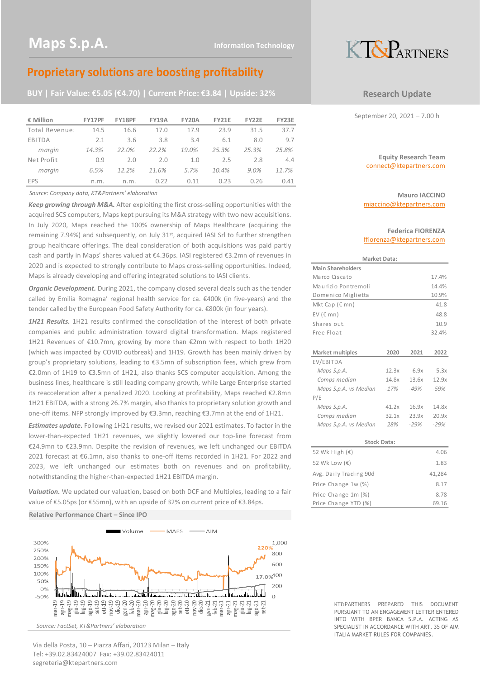# **Proprietary solutions are boosting profitability**

### **BUY | Fair Value: €5.05 (€4.70) | Current Price: €3.84 | Upside: 32%**

| € Million      | FY17PF | FY18PF | <b>FY19A</b> | <b>FY20A</b> | <b>FY21E</b> | <b>FY22E</b> | FY23E |
|----------------|--------|--------|--------------|--------------|--------------|--------------|-------|
| Total Revenue: | 14.5   | 16.6   | 17.0         | 17.9         | 23.9         | 31.5         | 37.7  |
| EBITDA         | 2.1    | 3.6    | 3.8          | 3.4          | 6.1          | 8.0          | 9.7   |
| margin         | 14.3%  | 22.0%  | 22.2%        | 19.0%        | 25.3%        | 25.3%        | 25.8% |
| Net Profit     | 0.9    | 2.0    | 2.0          | 1.0          | 2.5          | 2.8          | 4.4   |
| margin         | 6.5%   | 12.2%  | 11.6%        | 5.7%         | 10.4%        | $9.0\%$      | 11.7% |
| EPS            | n.m.   | n.m.   | 0.22         | 0.11         | 0.23         | 0.26         | 0.41  |

*Source: Company data, KT&Partners' elaboration*

*Keep growing through M&A.* After exploiting the first cross-selling opportunities with the acquired SCS computers, Maps kept pursuing its M&A strategy with two new acquisitions. In July 2020, Maps reached the 100% ownership of Maps Healthcare (acquiring the remaining 7.94%) and subsequently, on July  $31^{st}$ , acquired IASI Srl to further strengthen group healthcare offerings. The deal consideration of both acquisitions was paid partly cash and partly in Maps' shares valued at €4.36ps. IASI registered €3.2mn of revenues in 2020 and is expected to strongly contribute to Maps cross-selling opportunities. Indeed, Maps is already developing and offering integrated solutions to IASI clients.

*Organic Development.* During 2021, the company closed several deals such as the tender called by Emilia Romagna' regional health service for ca. €400k (in five-years) and the tender called by the European Food Safety Authority for ca. €800k (in four years).

*1H21 Results.* 1H21 results confirmed the consolidation of the interest of both private companies and public administration toward digital transformation. Maps registered 1H21 Revenues of €10.7mn, growing by more than €2mn with respect to both 1H20 (which was impacted by COVID outbreak) and 1H19. Growth has been mainly driven by group's proprietary solutions, leading to €3.5mn of subscription fees, which grew from €2.0mn of 1H19 to €3.5mn of 1H21, also thanks SCS computer acquisition. Among the business lines, healthcare is still leading company growth, while Large Enterprise started its reacceleration after a penalized 2020. Looking at profitability, Maps reached €2.8mn 1H21 EBITDA, with a strong 26.7% margin, also thanks to proprietary solution growth and one-off items. NFP strongly improved by €3.3mn, reaching €3.7mn at the end of 1H21.

*Estimates update.* Following 1H21 results, we revised our 2021 estimates. To factor in the lower-than-expected 1H21 revenues, we slightly lowered our top-line forecast from €24.9mn to €23.9mn. Despite the revision of revenues, we left unchanged our EBITDA 2021 forecast at €6.1mn, also thanks to one-off items recorded in 1H21. For 2022 and 2023, we left unchanged our estimates both on revenues and on profitability, notwithstanding the higher-than-expected 1H21 EBITDA margin.

*Valuation.* We updated our valuation, based on both DCF and Multiples, leading to a fair value of €5.05ps (or €55mn), with an upside of 32% on current price of €3.84ps.

#### **Relative Performance Chart – Since IPO**





### **Research Update**

September 20, 2021 – 7.00 h

#### **Equity Research Team** connect@ktepartners.com

#### **Mauro IACCINO** miaccino@ktepartners.com

#### **Federica FIORENZA** ffiorenza@ktepartners.com

| <b>Market Data:</b>      |        |        |        |
|--------------------------|--------|--------|--------|
| <b>Main Shareholders</b> |        |        |        |
| Marco Ciscato            |        |        | 17.4%  |
| Maurizio Pontremoli      |        |        | 14.4%  |
| Domenico Miglietta       | 10.9%  |        |        |
| Mkt Cap $(\epsilon$ mn)  |        |        | 41.8   |
| EV ( $\epsilon$ mn)      |        |        | 48.8   |
| Shares out.              |        |        | 10.9   |
| Free Float               |        |        | 32.4%  |
|                          |        |        |        |
| Market multiples         | 2020   | 2021   | 2022   |
| EV/EBITDA                |        |        |        |
| Maps S.p.A.              | 12.3x  | 6.9x   | 5.3x   |
| Comps median             | 14.8x  | 13.6x  | 12.9x  |
| Maps S.p.A. vs Median    | $-17%$ | -49%   | $-59%$ |
| P/E                      |        |        |        |
| Maps S.p.A.              | 41.2x  | 16.9x  | 14.8x  |
| Comps median             | 32.1x  | 23.9x  | 20.9x  |
| Maps S.p.A. vs Median    | 28%    | $-29%$ | $-29%$ |
|                          |        |        |        |
| <b>Stock Data:</b>       |        |        |        |
| 52 Wk High (€)           |        |        | 4.06   |
| 52 Wk Low (€)            |        |        | 1.83   |
| Avg. Daily Trading 90d   |        |        | 41,284 |
| Price Change 1w (%)      |        |        | 8.17   |
| Price Change 1m (%)      |        |        | 8.78   |
| Price Change YTD (%)     |        |        | 69.16  |

KT&PARTNERS PREPARED THIS DOCUMENT PURSUANT TO AN ENGAGEMENT LETTER ENTERED INTO WITH BPER BANCA S.P.A. ACTING AS SPECIALIST IN ACCORDANCE WITH ART. 35 OF AIM ITALIA MARKET RULES FOR COMPANIES.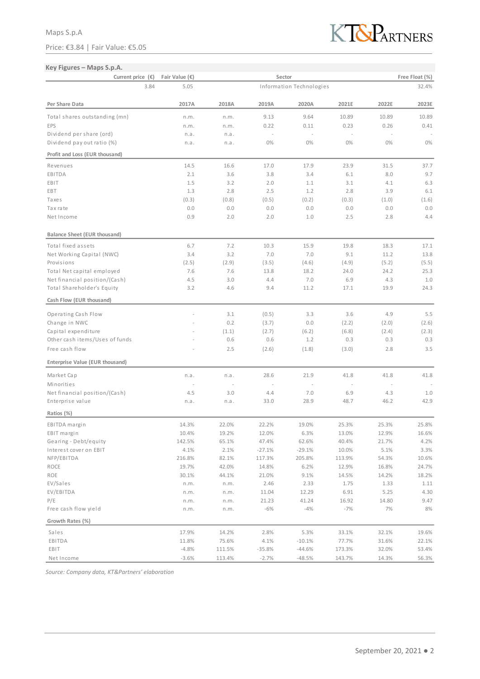## Maps S.p.A

### Price: €3.84 | Fair Value: €5.05



### **Key Figures – Maps S.p.A.**

| Current price $(\epsilon)$          | Fair Value (€) |        |                          | Sector                   |        |                          | Free Float (%)           |
|-------------------------------------|----------------|--------|--------------------------|--------------------------|--------|--------------------------|--------------------------|
| 3.84                                | 5.05           |        |                          | Information Technologies |        |                          | 32.4%                    |
| Per Share Data                      | 2017A          | 2018A  | 2019A                    | 2020A                    | 2021E  | 2022E                    | 2023E                    |
| Total shares outstanding (mn)       | n.m.           | n.m.   | 9.13                     | 9.64                     | 10.89  | 10.89                    | 10.89                    |
| EPS                                 | n.m.           | n.m.   | 0.22                     | 0.11                     | 0.23   | 0.26                     | 0.41                     |
| Dividend per share (ord)            | n.a.           | n.a.   | $\overline{\phantom{a}}$ | $\overline{\phantom{a}}$ | i,     | $\overline{\phantom{a}}$ | $\overline{\phantom{a}}$ |
| Dividend pay out ratio (%)          | n.a.           | n.a.   | $0\%$                    | 0%                       | 0%     | 0%                       | 0%                       |
| Profit and Loss (EUR thousand)      |                |        |                          |                          |        |                          |                          |
| Revenues                            | 14.5           | 16.6   | 17.0                     | 17.9                     | 23.9   | 31.5                     | 37.7                     |
| EBITDA                              | 2.1            | 3.6    | 3.8                      | 3.4                      | 6.1    | 8.0                      | 9.7                      |
| EBIT                                | 1.5            | 3.2    | 2.0                      | 1.1                      | 3.1    | 4.1                      | 6.3                      |
| EBT                                 | 1.3            | 2.8    | 2.5                      | 1.2                      | 2.8    | 3.9                      | 6.1                      |
| Taxes                               | (0.3)          | (0.8)  | (0.5)                    | (0.2)                    | (0.3)  | (1.0)                    | (1.6)                    |
| Tax rate                            | 0.0            | 0.0    | 0.0                      | 0.0                      | 0.0    | 0.0                      | 0.0                      |
| Net Income                          | 0.9            | 2.0    | 2.0                      | 1.0                      | 2.5    | 2.8                      | 4.4                      |
| <b>Balance Sheet (EUR thousand)</b> |                |        |                          |                          |        |                          |                          |
| Total fixed assets                  | 6.7            | 7.2    | 10.3                     | 15.9                     | 19.8   | 18.3                     | 17.1                     |
| Net Working Capital (NWC)           | 3.4            | 3.2    | 7.0                      | 7.0                      | 9.1    | 11.2                     | 13.8                     |
| Provisions                          | (2.5)          | (2.9)  | (3.5)                    | (4.6)                    | (4.9)  | (5.2)                    | (5.5)                    |
| Total Net capital employed          | 7.6            | 7.6    | 13.8                     | 18.2                     | 24.0   | 24.2                     | 25.3                     |
| Net financial position/(Cash)       | 4.5            | 3.0    | 4.4                      | 7.0                      | 6.9    | 4.3                      | 1.0                      |
| Total Shareholder's Equity          | 3.2            | 4.6    | 9.4                      | 11.2                     | 17.1   | 19.9                     | 24.3                     |
| Cash Flow (EUR thousand)            |                |        |                          |                          |        |                          |                          |
| Operating Cash Flow                 |                | 3.1    | (0.5)                    | 3.3                      | 3.6    | 4.9                      | 5.5                      |
| Change in NWC                       |                | 0.2    | (3.7)                    | 0.0                      | (2.2)  | (2.0)                    | (2.6)                    |
| Capital expenditure                 |                | (1.1)  | (2.7)                    | (6.2)                    | (6.8)  | (2.4)                    | (2.3)                    |
| Other cash items/Uses of funds      |                | 0.6    | 0.6                      | 1.2                      | 0.3    | 0.3                      | 0.3                      |
| Free cash flow                      |                | 2.5    | (2.6)                    | (1.8)                    | (3.0)  | 2.8                      | 3.5                      |
| Enterprise Value (EUR thousand)     |                |        |                          |                          |        |                          |                          |
| Market Cap                          | n.a.           | n.a.   | 28.6                     | 21.9                     | 41.8   | 41.8                     | 41.8                     |
| Minorities                          |                |        | $\overline{\phantom{a}}$ | i,                       | i,     | i,                       |                          |
| Net financial position/(Cash)       | 4.5            | 3.0    | 4.4                      | 7.0                      | 6.9    | 4.3                      | 1.0                      |
| Enterprise value                    | n.a.           | n.a.   | 33.0                     | 28.9                     | 48.7   | 46.2                     | 42.9                     |
| Ratios (%)                          |                |        |                          |                          |        |                          |                          |
| EBITDA margin                       | 14.3%          | 22.0%  | 22.2%                    | 19.0%                    | 25.3%  | 25.3%                    | 25.8%                    |
| EBIT margin                         | 10.4%          | 19.2%  | 12.0%                    | 6.3%                     | 13.0%  | 12.9%                    | 16.6%                    |
| Gearing - Debt/equity               | 142.5%         | 65.1%  | 47.4%                    | 62.6%                    | 40.4%  | 21.7%                    | 4.2%                     |
| Interest cover on EBIT              | 4.1%           | 2.1%   | $-27.1%$                 | $-29.1%$                 | 10.0%  | 5.1%                     | 3.3%                     |
| NFP/EBITDA                          | 216.8%         | 82.1%  | 117.3%                   | 205.8%                   | 113.9% | 54.3%                    | 10.6%                    |
| ROCE                                | 19.7%          | 42.0%  | 14.8%                    | 6.2%                     | 12.9%  | 16.8%                    | 24.7%                    |
| ROE                                 | 30.1%          | 44.1%  | 21.0%                    | 9.1%                     | 14.5%  | 14.2%                    | 18.2%                    |
| EV/Sales                            | n.m.           | n.m.   | 2.46                     | 2.33                     | 1.75   | 1.33                     | 1.11                     |
| EV/EBITDA                           | n.m.           | n.m.   | 11.04                    | 12.29                    | 6.91   | 5.25                     | 4.30                     |
| P/E                                 | n.m.           | n.m.   | 21.23                    | 41.24                    | 16.92  | 14.80                    | 9.47                     |
| Free cash flow yield                | n.m.           | n.m.   | $-6%$                    | $-4%$                    | $-7%$  | 7%                       | 8%                       |
| Growth Rates (%)                    |                |        |                          |                          |        |                          |                          |
| Sales                               | 17.9%          | 14.2%  | 2.8%                     | 5.3%                     | 33.1%  | 32.1%                    | 19.6%                    |
| EBITDA                              | 11.8%          | 75.6%  | 4.1%                     | $-10.1%$                 | 77.7%  | 31.6%                    | 22.1%                    |
| EBIT                                | $-4.8%$        | 111.5% | $-35.8%$                 | $-44.6%$                 | 173.3% | 32.0%                    | 53.4%                    |
| Net Income                          | $-3.6%$        | 113.4% | $-2.7%$                  | $-48.5%$                 | 143.7% | 14.3%                    | 56.3%                    |

*Source: Company data, KT&Partners' elaboration*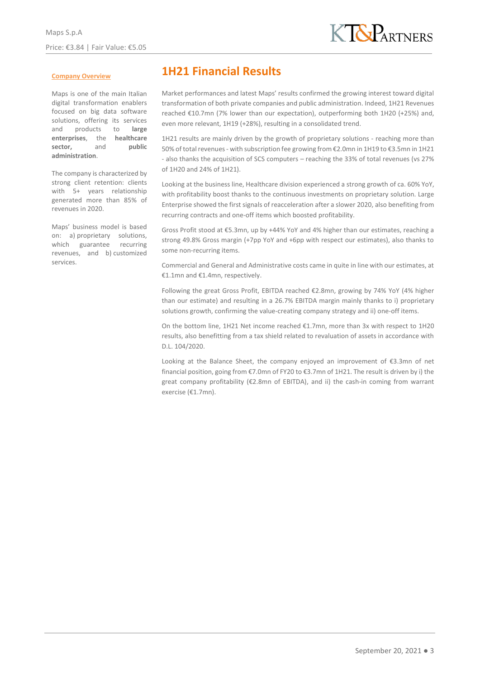#### **Company Overview**

Maps is one of the main Italian digital transformation enablers focused on big data software solutions, offering its services and products to **large enterprises**, the **healthcare sector,** and **public administration**.

The company is characterized by strong client retention: clients with 5+ years relationship generated more than 85% of revenues in 2020.

Maps' business model is based on: a) proprietary solutions, which guarantee recurring revenues, and b) customized services.

# **1H21 Financial Results**

Market performances and latest Maps' results confirmed the growing interest toward digital transformation of both private companies and public administration. Indeed, 1H21 Revenues reached €10.7mn (7% lower than our expectation), outperforming both 1H20 (+25%) and, even more relevant, 1H19 (+28%), resulting in a consolidated trend.

1H21 results are mainly driven by the growth of proprietary solutions - reaching more than 50% of total revenues- with subscription fee growing from €2.0mn in 1H19 to €3.5mn in 1H21 - also thanks the acquisition of SCS computers – reaching the 33% of total revenues (vs 27% of 1H20 and 24% of 1H21).

Looking at the business line, Healthcare division experienced a strong growth of ca. 60% YoY, with profitability boost thanks to the continuous investments on proprietary solution. Large Enterprise showed the first signals of reacceleration after a slower 2020, also benefiting from recurring contracts and one-off items which boosted profitability.

Gross Profit stood at €5.3mn, up by +44% YoY and 4% higher than our estimates, reaching a strong 49.8% Gross margin (+7pp YoY and +6pp with respect our estimates), also thanks to some non-recurring items.

Commercial and General and Administrative costs came in quite in line with our estimates, at €1.1mn and €1.4mn, respectively.

Following the great Gross Profit, EBITDA reached €2.8mn, growing by 74% YoY (4% higher than our estimate) and resulting in a 26.7% EBITDA margin mainly thanks to i) proprietary solutions growth, confirming the value-creating company strategy and ii) one-off items.

On the bottom line, 1H21 Net income reached €1.7mn, more than 3x with respect to 1H20 results, also benefitting from a tax shield related to revaluation of assets in accordance with D.L. 104/2020.

Looking at the Balance Sheet, the company enjoyed an improvement of €3.3mn of net financial position, going from €7.0mn of FY20 to €3.7mn of 1H21. The result is driven by i) the great company profitability (€2.8mn of EBITDA), and ii) the cash-in coming from warrant exercise (€1.7mn).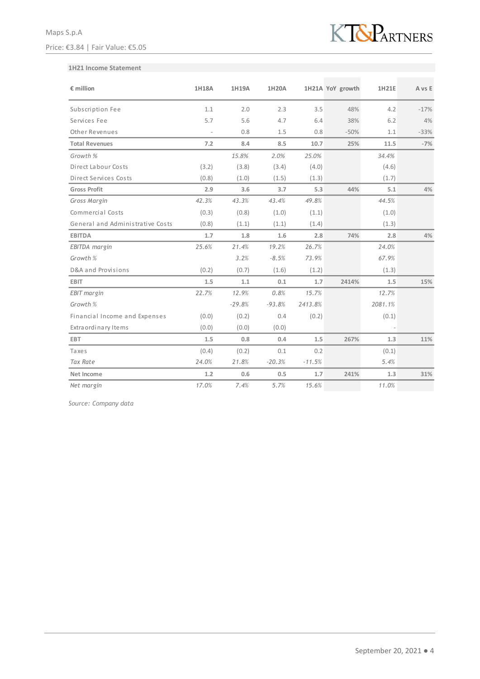Maps S.p.A Price: €3.84 | Fair Value: €5.05



#### **1H21 Income Statement**

| € million                        | 1H18A  | 1H19A    | 1H20A    |          | 1H21A YoY growth | 1H21E   | A vs E |
|----------------------------------|--------|----------|----------|----------|------------------|---------|--------|
| Subscription Fee                 | 1.1    | 2.0      | 2.3      | 3.5      | 48%              | 4.2     | $-17%$ |
| Services Fee                     | 5.7    | 5.6      | 4.7      | 6.4      | 38%              | 6.2     | 4%     |
| Other Revenues                   | $\sim$ | 0.8      | 1.5      | 0.8      | $-50%$           | 1.1     | $-33%$ |
| <b>Total Revenues</b>            | 7.2    | 8.4      | 8.5      | 10.7     | 25%              | 11.5    | $-7%$  |
| Growth %                         |        | 15.8%    | 2.0%     | 25.0%    |                  | 34.4%   |        |
| Direct Labour Costs              | (3.2)  | (3.8)    | (3.4)    | (4.0)    |                  | (4.6)   |        |
| Direct Services Costs            | (0.8)  | (1.0)    | (1.5)    | (1.3)    |                  | (1.7)   |        |
| <b>Gross Profit</b>              | 2.9    | 3.6      | 3.7      | 5.3      | 44%              | 5.1     | 4%     |
| Gross Margin                     | 42.3%  | 43.3%    | 43.4%    | 49.8%    |                  | 44.5%   |        |
| Commercial Costs                 | (0.3)  | (0.8)    | (1.0)    | (1.1)    |                  | (1.0)   |        |
| General and Administrative Costs | (0.8)  | (1.1)    | (1.1)    | (1.4)    |                  | (1.3)   |        |
| <b>EBITDA</b>                    | 1.7    | 1.8      | 1.6      | 2.8      | 74%              | 2.8     | 4%     |
| EBITDA margin                    | 25.6%  | 21.4%    | 19.2%    | 26.7%    |                  | 24.0%   |        |
| Growth %                         |        | 3.2%     | $-8.5%$  | 73.9%    |                  | 67.9%   |        |
| D&A and Provisions               | (0.2)  | (0.7)    | (1.6)    | (1.2)    |                  | (1.3)   |        |
| <b>EBIT</b>                      | 1.5    | 1.1      | 0.1      | 1.7      | 2414%            | 1.5     | 15%    |
| <b>EBIT</b> margin               | 22.7%  | 12.9%    | 0.8%     | 15.7%    |                  | 12.7%   |        |
| Growth %                         |        | $-29.8%$ | $-93.8%$ | 2413.8%  |                  | 2081.1% |        |
| Financial Income and Expenses    | (0.0)  | (0.2)    | 0.4      | (0.2)    |                  | (0.1)   |        |
| Extraordinary Items              | (0.0)  | (0.0)    | (0.0)    |          |                  |         |        |
| <b>EBT</b>                       | 1.5    | 0.8      | 0.4      | 1.5      | 267%             | 1.3     | 11%    |
| Taxes                            | (0.4)  | (0.2)    | 0.1      | 0.2      |                  | (0.1)   |        |
| <b>Tax Rate</b>                  | 24.0%  | 21.8%    | $-20.3%$ | $-11.5%$ |                  | 5.4%    |        |
| Net Income                       | 1.2    | 0.6      | 0.5      | 1.7      | 241%             | 1.3     | 31%    |
| Net margin                       | 17.0%  | 7.4%     | 5.7%     | 15.6%    |                  | 11.0%   |        |

*Source: Company data*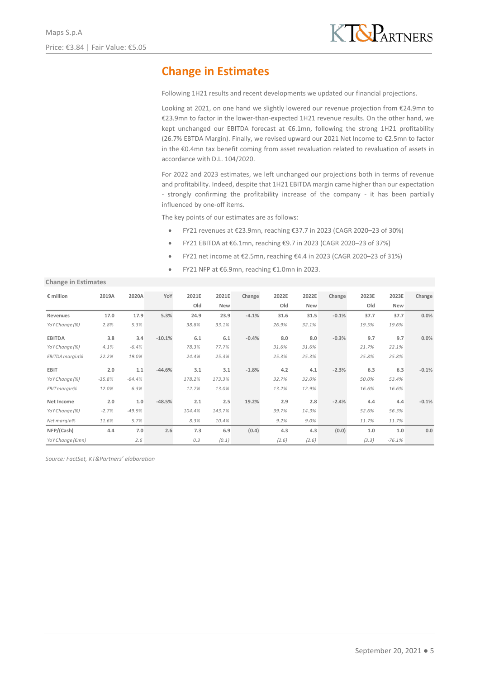# **Change in Estimates**

Following 1H21 results and recent developments we updated our financial projections.

Looking at 2021, on one hand we slightly lowered our revenue projection from €24.9mn to €23.9mn to factor in the lower-than-expected 1H21 revenue results. On the other hand, we kept unchanged our EBITDA forecast at €6.1mn, following the strong 1H21 profitability (26.7% EBTDA Margin). Finally, we revised upward our 2021 Net Income to €2.5mn to factor in the €0.4mn tax benefit coming from asset revaluation related to revaluation of assets in accordance with D.L. 104/2020.

For 2022 and 2023 estimates, we left unchanged our projections both in terms of revenue and profitability. Indeed, despite that 1H21 EBITDA margin came higher than our expectation - strongly confirming the profitability increase of the company - it has been partially influenced by one-off items.

The key points of our estimates are as follows:

- FY21 revenues at €23.9mn, reaching €37.7 in 2023 (CAGR 2020–23 of 30%)
- FY21 EBITDA at €6.1mn, reaching €9.7 in 2023 (CAGR 2020–23 of 37%)
- FY21 net income at €2.5mn, reaching €4.4 in 2023 (CAGR 2020–23 of 31%)
- FY21 NFP at €6.9mn, reaching €1.0mn in 2023.

| $\epsilon$ million | 2019A    | 2020A    | YoY      | 2021E  | 2021E      | Change  | 2022E | 2022E      | Change  | 2023E | 2023E      | Change  |
|--------------------|----------|----------|----------|--------|------------|---------|-------|------------|---------|-------|------------|---------|
|                    |          |          |          | Old    | <b>New</b> |         | Old   | <b>New</b> |         | Old   | <b>New</b> |         |
| Revenues           | 17.0     | 17.9     | 5.3%     | 24.9   | 23.9       | $-4.1%$ | 31.6  | 31.5       | $-0.1%$ | 37.7  | 37.7       | 0.0%    |
| YoY Change (%)     | 2.8%     | 5.3%     |          | 38.8%  | 33.1%      |         | 26.9% | 32.1%      |         | 19.5% | 19.6%      |         |
| <b>EBITDA</b>      | 3.8      | 3.4      | $-10.1%$ | 6.1    | 6.1        | $-0.4%$ | 8.0   | 8.0        | $-0.3%$ | 9.7   | 9.7        | 0.0%    |
| YoY Change (%)     | 4.1%     | $-6.4%$  |          | 78.3%  | 77.7%      |         | 31.6% | 31.6%      |         | 21.7% | 22.1%      |         |
| EBITDA margin%     | 22.2%    | 19.0%    |          | 24.4%  | 25.3%      |         | 25.3% | 25.3%      |         | 25.8% | 25.8%      |         |
| <b>EBIT</b>        | 2.0      | 1.1      | $-44.6%$ | 3.1    | 3.1        | $-1.8%$ | 4.2   | 4.1        | $-2.3%$ | 6.3   | 6.3        | $-0.1%$ |
| YoY Change (%)     | $-35.8%$ | $-64.4%$ |          | 178.2% | 173.3%     |         | 32.7% | 32.0%      |         | 50.0% | 53.4%      |         |
| EBIT margin%       | 12.0%    | 6.3%     |          | 12.7%  | 13.0%      |         | 13.2% | 12.9%      |         | 16.6% | 16.6%      |         |
| Net Income         | 2.0      | 1.0      | $-48.5%$ | 2.1    | 2.5        | 19.2%   | 2.9   | 2.8        | $-2.4%$ | 4.4   | 4.4        | $-0.1%$ |
| YoY Change (%)     | $-2.7%$  | $-49.9%$ |          | 104.4% | 143.7%     |         | 39.7% | 14.3%      |         | 52.6% | 56.3%      |         |
| Net margin%        | 11.6%    | 5.7%     |          | 8.3%   | 10.4%      |         | 9.2%  | 9.0%       |         | 11.7% | 11.7%      |         |
| NFP/(Cash)         | 4.4      | 7.0      | 2.6      | 7.3    | 6.9        | (0.4)   | 4.3   | 4.3        | (0.0)   | 1.0   | $1.0$      | 0.0     |
| YoY Change (€mn)   |          | 2.6      |          | 0.3    | (0.1)      |         | (2.6) | (2.6)      |         | (3.3) | $-76.1%$   |         |

*Source: FactSet, KT&Partners' elaboration*

**Change in Estimates**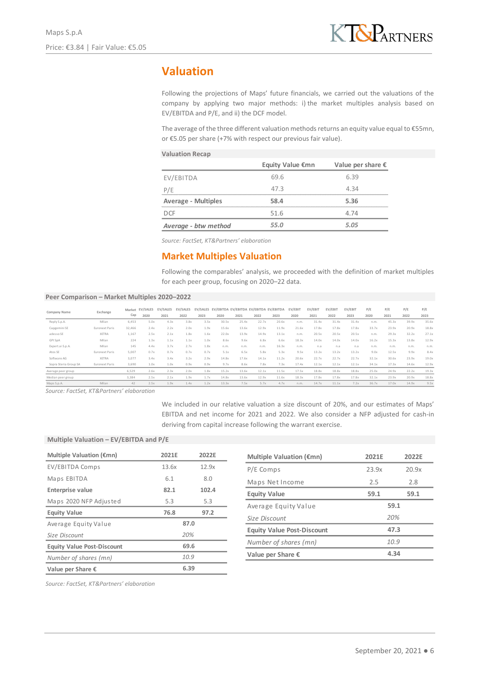# **Valuation**

Following the projections of Maps' future financials, we carried out the valuations of the company by applying two major methods: i) the market multiples analysis based on EV/EBITDA and P/E, and ii) the DCF model.

The average of the three different valuation methods returns an equity value equal to €55mn, or €5.05 per share (+7% with respect our previous fair value).

### **Valuation Recap**

|                            | Equity Value €mn | Value per share $\epsilon$ |
|----------------------------|------------------|----------------------------|
| EV/EBITDA                  | 69.6             | 6.39                       |
| P/F                        | 47 3             | 434                        |
| <b>Average - Multiples</b> | 58.4             | 5.36                       |
| <b>DCF</b>                 | 51.6             | 4 74                       |
| Average - btw method       | 55 N             | גה ג                       |

*Source: FactSet, KT&Partners' elaboration*

### **Market Multiples Valuation**

Following the comparables' analysis, we proceeded with the definition of market multiples for each peer group, focusing on 2020–22 data.

### **Peer Comparison – Market Multiples 2020–2022**

|                       |                |        | Market EV/SALES | EV/SALES | EV/SALES |      | EV/SALES EV/EBITDA EV/EBITDA EV/EBITDA EV/EBITDA |       |       |       | EV/EBIT | EV/EBIT | EV/EBIT | EV/EBIT | P/E   | P/E   | P/E   | P/E   |
|-----------------------|----------------|--------|-----------------|----------|----------|------|--------------------------------------------------|-------|-------|-------|---------|---------|---------|---------|-------|-------|-------|-------|
| Company Name          | Exchange       | Cap    | 2020            | 2021     | 2022     | 2023 | 2020                                             | 2021  | 2022  | 2023  | 2020    | 2021    | 2022    | 2023    | 2020  | 2021  | 2022  | 2023  |
| Reply S.p.A.          | Milan          | 6.453  | 5.0x            | 4.3x     | 3.8x     | 3.5x | 30.5x                                            | 25.4x | 22.7x | 20.6x | n.m.    | 31.4x   | 31.4x   | 31.4x   | n.m.  | 45.3x | 39.9x | 35.6x |
| Capgemini SE          | Euronext Paris | 32.466 | 2.4x            | 2.2x     | 2.0x     | 1.9x | 15.6x                                            | 13.6x | 12.9x | 11.9x | 21.6x   | 17.8x   | 17.8x   | 17.8x   | 33.7x | 23.9x | 20.9x | 18.8x |
| adesso SE             | XETRA          | 1.167  | 2.5x            | 2.1x     | 1.8x     | 1.6x | 22.0x                                            | 13.9x | 14.9x | 13.1x | n.m.    | 20.5x   | 20.5x   | 20.5x   | n.m.  | 29.3x | 32.2x | 27.1x |
| GPI SpA               | Milan          | 224    | 1.3x            | 1.1x     | 1.1x     | 1.0x | 8.6x                                             | 9.6x  | 6.8x  | 6.6x  | 18.3x   | 14.0x   | 14.0x   | 14.0x   | 16.2x | 15.3x | 13.8x | 12.9x |
| Expert.ai S.p.A.      | Milan          | 145    | 4.4x            | 3.7x     | 2.7x     | 1.8x | n.m.                                             | n.m.  | n.m.  | 16.3x | n.m.    | n.a     | n.a     | n.a     | n.m.  | n.m.  | n.m.  | n.m.  |
| Atos SE               | Euronext Paris | 5.007  | 0.7x            | 0.7x     | 0.7x     | 0.7x | 5.1x                                             | 6.5x  | 5.8x  | 5.3x  | 9.5x    | 13.2x   | 13.2x   | 13.2x   | 9.0x  | 12.5x | 9.9x  | 8.4x  |
| Software AG           | XETRA          | 3.077  | 3.4x            | 3.4x     | 3.2x     | 2.9x | 14.8x                                            | 17.6x | 14.1x | 11.2x | 20.6x   | 22.7x   | 22.7x   | 22.7x   | 32.1x | 30.6x | 23.9x | 19.0x |
| Sopra Steria Group SA | Euronext Paris | 3,690  | 1.0x            | 1.0x     | 0.9x     | 0.9x | 9.7x                                             | 8.6x  | 7.8x  | 7.3x  | 17.4x   | 12.1x   | 12.1x   | 12.1x   | 34.1x | 17.3x | 14.6x | 12.9x |
| Average peer group    |                | 6,529  | 2.6x            | 2.3x     | 2.0x     | 1.8x | 15.2x                                            | 13.6x | 12.1x | 11.5x | 17.5x   | 18.8x   | 18.8x   | 18.8x   | 25.0x | 24.9x | 22.2x | 19.3x |
| Median peer group     |                | 3,384  | 2.5x            | 2.1x     | 1.9x     | 1.7x | 14.8x                                            | 13.6x | 12.9x | 11.6x | 18.3x   | 17.8x   | 17.8x   | 17.8x   | 32.1x | 23.9x | 20.9x | 18.8x |
| Maps S.p.A.           | Milan          | 42     | 2.5x            | 1.9x     | 1.4x     | 1.2x | 13.3x                                            | 7.5x  | 5.7x  | 4.7x  | n.m.    | 14.7x   | 11.1x   | 7.2x    | 36.7x | 17.0x | 14.9x | 9.5x  |

*Source: FactSet, KT&Partners' elaboration*

We included in our relative valuation a size discount of 20%, and our estimates of Maps' EBITDA and net income for 2021 and 2022. We also consider a NFP adjusted for cash-in deriving from capital increase following the warrant exercise.

### **Multiple Valuation – EV/EBITDA and P/E**

| Multiple Valuation (€mn)          | 2021E | 2022E |
|-----------------------------------|-------|-------|
| EV/EBITDA Comps                   | 13.6x | 12.9x |
| Maps EBITDA                       | 6.1   | 8.0   |
| <b>Enterprise value</b>           | 82.1  | 102.4 |
| Maps 2020 NFP Adjusted            | 5.3   | 5.3   |
| <b>Equity Value</b>               | 76.8  | 97.2  |
| Average Equity Value              |       | 87.0  |
| Size Discount                     | 20%   |       |
| <b>Equity Value Post-Discount</b> |       | 69.6  |
| Number of shares (mn)             |       | 10.9  |
| Value per Share $\epsilon$        |       | 6.39  |

| Multiple Valuation ( $\epsilon$ mn) | 2021E | 2022F |  |  |  |  |
|-------------------------------------|-------|-------|--|--|--|--|
| P/E Comps                           | 23.9x | 20.9x |  |  |  |  |
| Maps Net Income                     | 2.5   | 2.8   |  |  |  |  |
| <b>Equity Value</b>                 | 59.1  | 59.1  |  |  |  |  |
| Average Equity Value                | 59.1  |       |  |  |  |  |
| Size Discount                       | 20%   |       |  |  |  |  |
| <b>Equity Value Post-Discount</b>   | 47.3  |       |  |  |  |  |
| Number of shares (mn)               | 10.9  |       |  |  |  |  |
| Value per Share $\epsilon$          |       | 4.34  |  |  |  |  |

*Source: FactSet, KT&Partners' elaboration*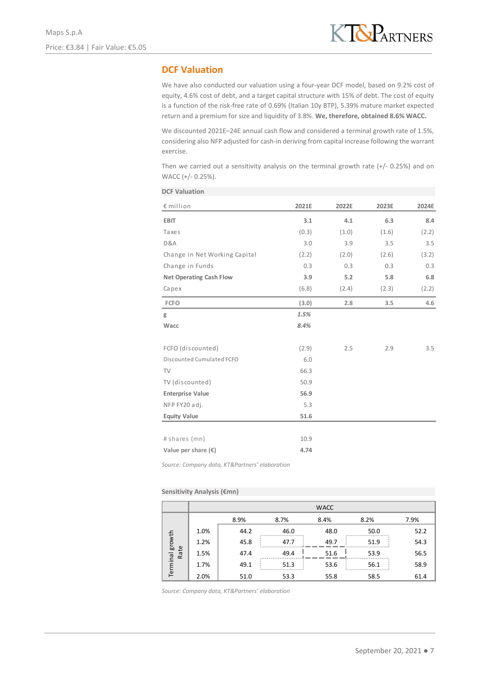## **DCF Valuation**

We have also conducted our valuation using a four-year DCF model, based on 9.2% cost of equity, 4.6% cost of debt, and a target capital structure with 15% of debt. The cost of equity is a function of the risk-free rate of 0.69% (Italian 10y BTP), 5.39% mature market expected return and a premium for size and liquidity of 3.8%. **We, therefore, obtained 8.6% WACC.**

We discounted 2021E–24E annual cash flow and considered a terminal growth rate of 1.5%, considering also NFP adjusted for cash-in deriving from capital increase following the warrant exercise.

Then we carried out a sensitivity analysis on the terminal growth rate (+/- 0.25%) and on WACC (+/- 0.25%).

| <b>DCF Valuation</b>           |       |       |       |       |
|--------------------------------|-------|-------|-------|-------|
| € million                      | 2021E | 2022E | 2023E | 2024E |
| <b>EBIT</b>                    | 3.1   | 4.1   | 6.3   | 8.4   |
| Taxes                          | (0.3) | (1.0) | (1.6) | (2.2) |
| D&A                            | 3.0   | 3.9   | 3.5   | 3.5   |
| Change in Net Working Capital  | (2.2) | (2.0) | (2.6) | (3.2) |
| Change in Funds                | 0.3   | 0.3   | 0.3   | 0.3   |
| <b>Net Operating Cash Flow</b> | 3.9   | 5.2   | 5.8   | 6.8   |
| Capex                          | (6.8) | (2.4) | (2.3) | (2.2) |
| <b>FCFO</b>                    | (3.0) | 2.8   | 3.5   | 4.6   |
| g                              | 1.5%  |       |       |       |
| Wacc                           | 8.4%  |       |       |       |
| FCFO (discounted)              | (2.9) | 2.5   | 2.9   | 3.5   |
| Discounted Cumulated FCFO      | 6.0   |       |       |       |
| TV                             | 66.3  |       |       |       |
| TV (discounted)                | 50.9  |       |       |       |
| <b>Enterprise Value</b>        | 56.9  |       |       |       |
| NFP FY20 adj.                  | 5.3   |       |       |       |
| <b>Equity Value</b>            | 51.6  |       |       |       |
|                                |       |       |       |       |
| # shares (mn)                  | 10.9  |       |       |       |
| Value per share $(\epsilon)$   | 4.74  |       |       |       |

*Source: Company data, KT&Partners' elaboration*

### **Sensitivity Analysis (€mn)**

|                 |      |      |      | <b>WACC</b> |      |      |
|-----------------|------|------|------|-------------|------|------|
|                 |      | 8.9% | 8.7% | 8.4%        | 8.2% | 7.9% |
|                 | 1.0% | 44.2 | 46.0 | 48.0        | 50.0 | 52.2 |
|                 | 1.2% | 45.8 | 47.7 | 49.7        | 51.9 | 54.3 |
| Rate            | 1.5% | 47.4 | 49.4 | 51.6        | 53.9 | 56.5 |
| Terminal growth | 1.7% | 49.1 | 51.3 | 53.6        | 56.1 | 58.9 |
|                 | 2.0% | 51.0 | 53.3 | 55.8        | 58.5 | 61.4 |

*Source: Company data, KT&Partners' elaboration*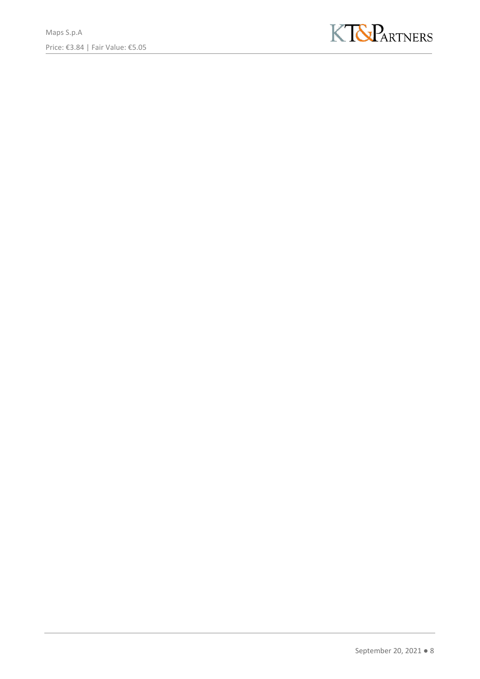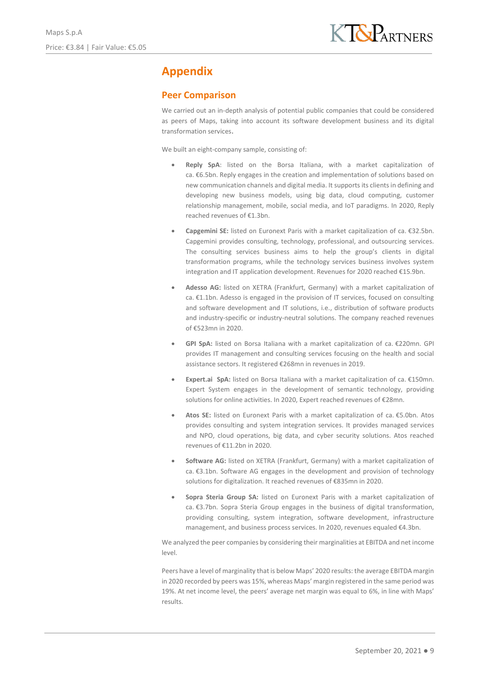# **Appendix**

## **Peer Comparison**

We carried out an in-depth analysis of potential public companies that could be considered as peers of Maps, taking into account its software development business and its digital transformation services.

We built an eight-company sample, consisting of:

- **Reply SpA**: listed on the Borsa Italiana, with a market capitalization of ca. €6.5bn. Reply engages in the creation and implementation of solutions based on new communication channels and digital media. It supports its clients in defining and developing new business models, using big data, cloud computing, customer relationship management, mobile, social media, and IoT paradigms. In 2020, Reply reached revenues of €1.3bn.
- **Capgemini SE:** listed on Euronext Paris with a market capitalization of ca. €32.5bn. Capgemini provides consulting, technology, professional, and outsourcing services. The consulting services business aims to help the group's clients in digital transformation programs, while the technology services business involves system integration and IT application development. Revenues for 2020 reached €15.9bn.
- **Adesso AG:** listed on XETRA (Frankfurt, Germany) with a market capitalization of ca. €1.1bn. Adesso is engaged in the provision of IT services, focused on consulting and software development and IT solutions, i.e., distribution of software products and industry-specific or industry-neutral solutions. The company reached revenues of €523mn in 2020.
- **GPI SpA:** listed on Borsa Italiana with a market capitalization of ca. €220mn. GPI provides IT management and consulting services focusing on the health and social assistance sectors. It registered €268mn in revenues in 2019.
- **Expert.ai SpA:** listed on Borsa Italiana with a market capitalization of ca. €150mn. Expert System engages in the development of semantic technology, providing solutions for online activities. In 2020, Expert reached revenues of €28mn.
- **Atos SE:** listed on Euronext Paris with a market capitalization of ca. €5.0bn. Atos provides consulting and system integration services. It provides managed services and NPO, cloud operations, big data, and cyber security solutions. Atos reached revenues of €11.2bn in 2020.
- **Software AG:** listed on XETRA (Frankfurt, Germany) with a market capitalization of ca. €3.1bn. Software AG engages in the development and provision of technology solutions for digitalization. It reached revenues of €835mn in 2020.
- **Sopra Steria Group SA:** listed on Euronext Paris with a market capitalization of ca. €3.7bn. Sopra Steria Group engages in the business of digital transformation, providing consulting, system integration, software development, infrastructure management, and business process services. In 2020, revenues equaled €4.3bn.

We analyzed the peer companies by considering their marginalities at EBITDA and net income level.

Peers have a level of marginality that is below Maps' 2020 results: the average EBITDA margin in 2020 recorded by peers was 15%, whereas Maps' margin registered in the same period was 19%. At net income level, the peers' average net margin was equal to 6%, in line with Maps' results.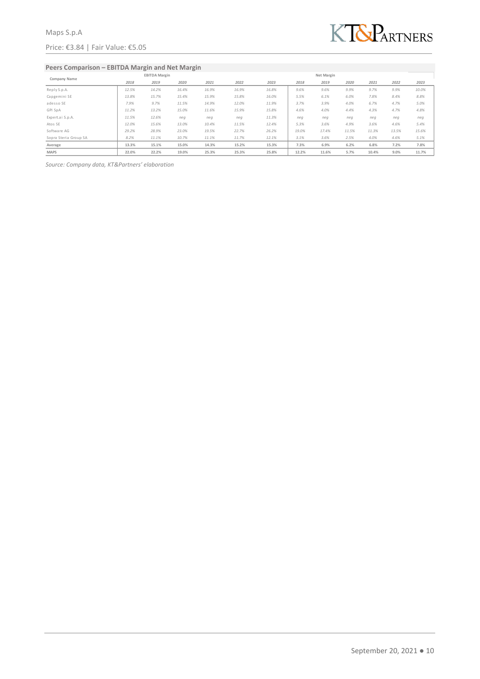

### **Peers Comparison – EBITDA Margin and Net Margin**

| Company Name          |       | <b>EBITDA</b> Margin |       |       | Net Margin |       |       |       |       |       |       |       |
|-----------------------|-------|----------------------|-------|-------|------------|-------|-------|-------|-------|-------|-------|-------|
|                       | 2018  | 2019                 | 2020  | 2021  | 2022       | 2023  | 2018  | 2019  | 2020  | 2021  | 2022  | 2023  |
| Reply S.p.A.          | 12.5% | 14.2%                | 16.4% | 16.9% | 16.9%      | 16.8% | 9.6%  | 9.6%  | 9.9%  | 9.7%  | 9.9%  | 10.0% |
| Capgemini SE          | 13.8% | 15.7%                | 15.4% | 15.9% | 15.8%      | 16.0% | 5.5%  | 6.1%  | 6.0%  | 7.8%  | 8.4%  | 8.8%  |
| adesso SE             | 7.9%  | 9.7%                 | 11.5% | 14.9% | 12.0%      | 11.9% | 3.7%  | 3.9%  | 4.0%  | 6.7%  | 4.7%  | 5.0%  |
| GPI SpA               | 11.2% | 13.2%                | 15.0% | 11.6% | 15.9%      | 15.8% | 4.6%  | 4.0%  | 4.4%  | 4.3%  | 4.7%  | 4.8%  |
| Expert.ai S.p.A.      | 11.5% | 12.6%                | neg   | neg   | neg        | 11.3% | neg   | neg   | neg   | neg   | neg   | neg   |
| Atos SE               | 12.0% | 15.6%                | 13.0% | 10.4% | 11.5%      | 12.4% | 5.3%  | 3.6%  | 4.9%  | 3.6%  | 4.6%  | 5.4%  |
| Software AG           | 29.2% | 28.9%                | 23.0% | 19.5% | 22.7%      | 26.2% | 19.0% | 17.4% | 11.5% | 11.3% | 13.5% | 15.6% |
| Sopra Steria Group SA | 8.2%  | 11.1%                | 10.7% | 11.1% | 11.7%      | 12.1% | 3.1%  | 3.6%  | 2.5%  | 4.0%  | 4.6%  | 5.1%  |
| Average               | 13.3% | 15.1%                | 15.0% | 14.3% | 15.2%      | 15.3% | 7.3%  | 6.9%  | 6.2%  | 6.8%  | 7.2%  | 7.8%  |
| <b>MAPS</b>           | 22.0% | 22.2%                | 19.0% | 25.3% | 25.3%      | 25.8% | 12.2% | 11.6% | 5.7%  | 10.4% | 9.0%  | 11.7% |

*Source: Company data, KT&Partners' elaboration*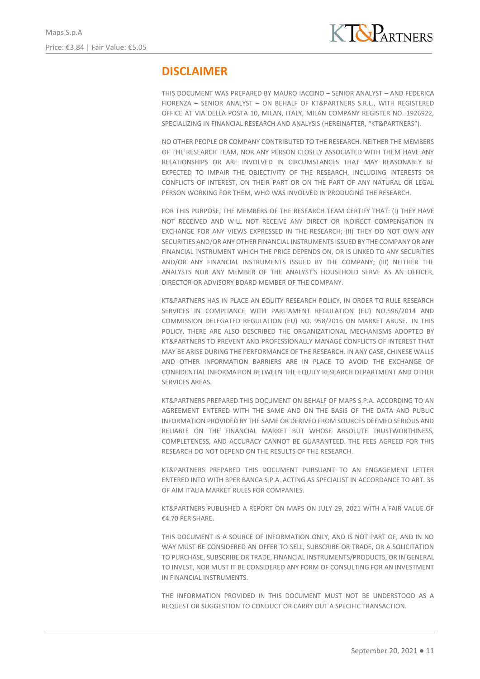# **DISCLAIMER**

THIS DOCUMENT WAS PREPARED BY MAURO IACCINO – SENIOR ANALYST – AND FEDERICA FIORENZA – SENIOR ANALYST – ON BEHALF OF KT&PARTNERS S.R.L., WITH REGISTERED OFFICE AT VIA DELLA POSTA 10, MILAN, ITALY, MILAN COMPANY REGISTER NO. 1926922, SPECIALIZING IN FINANCIAL RESEARCH AND ANALYSIS (HEREINAFTER, "KT&PARTNERS").

NO OTHER PEOPLE OR COMPANY CONTRIBUTED TO THE RESEARCH. NEITHER THE MEMBERS OF THE RESEARCH TEAM, NOR ANY PERSON CLOSELY ASSOCIATED WITH THEM HAVE ANY RELATIONSHIPS OR ARE INVOLVED IN CIRCUMSTANCES THAT MAY REASONABLY BE EXPECTED TO IMPAIR THE OBJECTIVITY OF THE RESEARCH, INCLUDING INTERESTS OR CONFLICTS OF INTEREST, ON THEIR PART OR ON THE PART OF ANY NATURAL OR LEGAL PERSON WORKING FOR THEM, WHO WAS INVOLVED IN PRODUCING THE RESEARCH.

FOR THIS PURPOSE, THE MEMBERS OF THE RESEARCH TEAM CERTIFY THAT: (I) THEY HAVE NOT RECEIVED AND WILL NOT RECEIVE ANY DIRECT OR INDIRECT COMPENSATION IN EXCHANGE FOR ANY VIEWS EXPRESSED IN THE RESEARCH; (II) THEY DO NOT OWN ANY SECURITIES AND/OR ANY OTHER FINANCIAL INSTRUMENTS ISSUED BY THE COMPANY OR ANY FINANCIAL INSTRUMENT WHICH THE PRICE DEPENDS ON, OR IS LINKED TO ANY SECURITIES AND/OR ANY FINANCIAL INSTRUMENTS ISSUED BY THE COMPANY; (III) NEITHER THE ANALYSTS NOR ANY MEMBER OF THE ANALYST'S HOUSEHOLD SERVE AS AN OFFICER, DIRECTOR OR ADVISORY BOARD MEMBER OF THE COMPANY.

KT&PARTNERS HAS IN PLACE AN EQUITY RESEARCH POLICY, IN ORDER TO RULE RESEARCH SERVICES IN COMPLIANCE WITH PARLIAMENT REGULATION (EU) NO.596/2014 AND COMMISSION DELEGATED REGULATION (EU) NO. 958/2016 ON MARKET ABUSE. IN THIS POLICY, THERE ARE ALSO DESCRIBED THE ORGANIZATIONAL MECHANISMS ADOPTED BY KT&PARTNERS TO PREVENT AND PROFESSIONALLY MANAGE CONFLICTS OF INTEREST THAT MAY BE ARISE DURING THE PERFORMANCE OF THE RESEARCH. IN ANY CASE, CHINESE WALLS AND OTHER INFORMATION BARRIERS ARE IN PLACE TO AVOID THE EXCHANGE OF CONFIDENTIAL INFORMATION BETWEEN THE EQUITY RESEARCH DEPARTMENT AND OTHER SERVICES AREAS.

KT&PARTNERS PREPARED THIS DOCUMENT ON BEHALF OF MAPS S.P.A. ACCORDING TO AN AGREEMENT ENTERED WITH THE SAME AND ON THE BASIS OF THE DATA AND PUBLIC INFORMATION PROVIDED BY THE SAME OR DERIVED FROM SOURCES DEEMED SERIOUS AND RELIABLE ON THE FINANCIAL MARKET BUT WHOSE ABSOLUTE TRUSTWORTHINESS, COMPLETENESS, AND ACCURACY CANNOT BE GUARANTEED. THE FEES AGREED FOR THIS RESEARCH DO NOT DEPEND ON THE RESULTS OF THE RESEARCH.

KT&PARTNERS PREPARED THIS DOCUMENT PURSUANT TO AN ENGAGEMENT LETTER ENTERED INTO WITH BPER BANCA S.P.A. ACTING AS SPECIALIST IN ACCORDANCE TO ART. 35 OF AIM ITALIA MARKET RULES FOR COMPANIES.

KT&PARTNERS PUBLISHED A REPORT ON MAPS ON JULY 29, 2021 WITH A FAIR VALUE OF €4.70 PER SHARE.

THIS DOCUMENT IS A SOURCE OF INFORMATION ONLY, AND IS NOT PART OF, AND IN NO WAY MUST BE CONSIDERED AN OFFER TO SELL, SUBSCRIBE OR TRADE, OR A SOLICITATION TO PURCHASE, SUBSCRIBE OR TRADE, FINANCIAL INSTRUMENTS/PRODUCTS, OR IN GENERAL TO INVEST, NOR MUST IT BE CONSIDERED ANY FORM OF CONSULTING FOR AN INVESTMENT IN FINANCIAL INSTRUMENTS.

THE INFORMATION PROVIDED IN THIS DOCUMENT MUST NOT BE UNDERSTOOD AS A REQUEST OR SUGGESTION TO CONDUCT OR CARRY OUT A SPECIFIC TRANSACTION.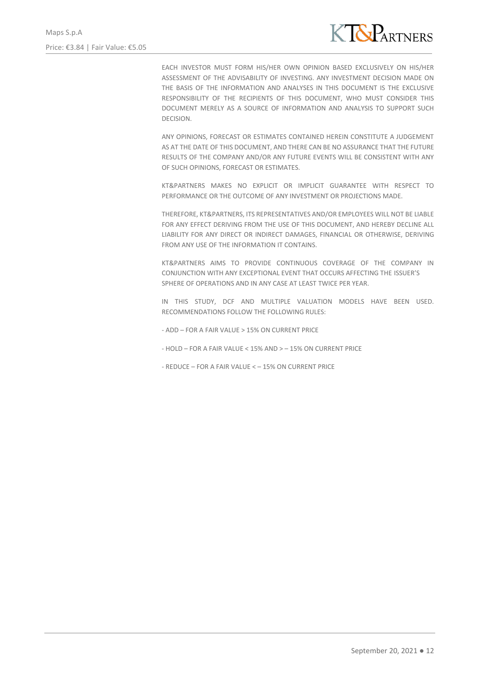

EACH INVESTOR MUST FORM HIS/HER OWN OPINION BASED EXCLUSIVELY ON HIS/HER ASSESSMENT OF THE ADVISABILITY OF INVESTING. ANY INVESTMENT DECISION MADE ON THE BASIS OF THE INFORMATION AND ANALYSES IN THIS DOCUMENT IS THE EXCLUSIVE RESPONSIBILITY OF THE RECIPIENTS OF THIS DOCUMENT, WHO MUST CONSIDER THIS DOCUMENT MERELY AS A SOURCE OF INFORMATION AND ANALYSIS TO SUPPORT SUCH DECISION.

ANY OPINIONS, FORECAST OR ESTIMATES CONTAINED HEREIN CONSTITUTE A JUDGEMENT AS AT THE DATE OF THIS DOCUMENT, AND THERE CAN BE NO ASSURANCE THAT THE FUTURE RESULTS OF THE COMPANY AND/OR ANY FUTURE EVENTS WILL BE CONSISTENT WITH ANY OF SUCH OPINIONS, FORECAST OR ESTIMATES.

KT&PARTNERS MAKES NO EXPLICIT OR IMPLICIT GUARANTEE WITH RESPECT TO PERFORMANCE OR THE OUTCOME OF ANY INVESTMENT OR PROJECTIONS MADE.

THEREFORE, KT&PARTNERS, ITS REPRESENTATIVES AND/OR EMPLOYEES WILL NOT BE LIABLE FOR ANY EFFECT DERIVING FROM THE USE OF THIS DOCUMENT, AND HEREBY DECLINE ALL LIABILITY FOR ANY DIRECT OR INDIRECT DAMAGES, FINANCIAL OR OTHERWISE, DERIVING FROM ANY USE OF THE INFORMATION IT CONTAINS.

KT&PARTNERS AIMS TO PROVIDE CONTINUOUS COVERAGE OF THE COMPANY IN CONJUNCTION WITH ANY EXCEPTIONAL EVENT THAT OCCURS AFFECTING THE ISSUER'S SPHERE OF OPERATIONS AND IN ANY CASE AT LEAST TWICE PER YEAR.

IN THIS STUDY, DCF AND MULTIPLE VALUATION MODELS HAVE BEEN USED. RECOMMENDATIONS FOLLOW THE FOLLOWING RULES:

- ADD FOR A FAIR VALUE > 15% ON CURRENT PRICE
- HOLD FOR A FAIR VALUE < 15% AND > 15% ON CURRENT PRICE
- REDUCE FOR A FAIR VALUE < 15% ON CURRENT PRICE